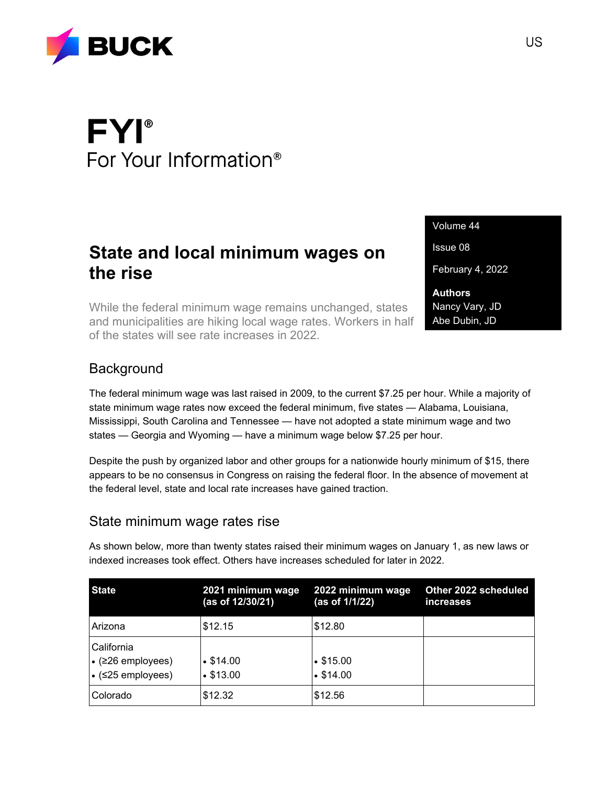

# **FYI®** For Your Information<sup>®</sup>

## **State and local minimum wages on the rise**

While the federal minimum wage remains unchanged, states and municipalities are hiking local wage rates. Workers in half of the states will see rate increases in 2022.

Volume 44

Issue 08

February 4, 2022

**Authors** Nancy Vary, JD Abe Dubin, JD

#### **Background**

The federal minimum wage was last raised in 2009, to the current \$7.25 per hour. While a majority of state minimum wage rates now exceed the federal minimum, five states — Alabama, Louisiana, Mississippi, South Carolina and Tennessee — have not adopted a state minimum wage and two states — Georgia and Wyoming — have a minimum wage below \$7.25 per hour.

Despite the push by organized labor and other groups for a nationwide hourly minimum of \$15, there appears to be no consensus in Congress on raising the federal floor. In the absence of movement at the federal level, state and local rate increases have gained traction.

#### State minimum wage rates rise

As shown below, more than twenty states raised their minimum wages on January 1, as new laws or indexed increases took effect. Others have increases scheduled for later in 2022.

| <b>State</b>                                                                   | 2021 minimum wage<br>(as of 12/30/21) | 2022 minimum wage<br>(as of 1/1/22) | Other 2022 scheduled<br><i>increases</i> |
|--------------------------------------------------------------------------------|---------------------------------------|-------------------------------------|------------------------------------------|
| Arizona                                                                        | \$12.15                               | \$12.80                             |                                          |
| California<br>$\cdot$ ( $\geq$ 26 employees)<br>$\cdot$ ( $\leq$ 25 employees) | $\cdot$ \$14.00<br>•\$13.00           | $\cdot$ \$15.00<br>$\cdot$ \$14.00  |                                          |
| Colorado                                                                       | \$12.32                               | \$12.56                             |                                          |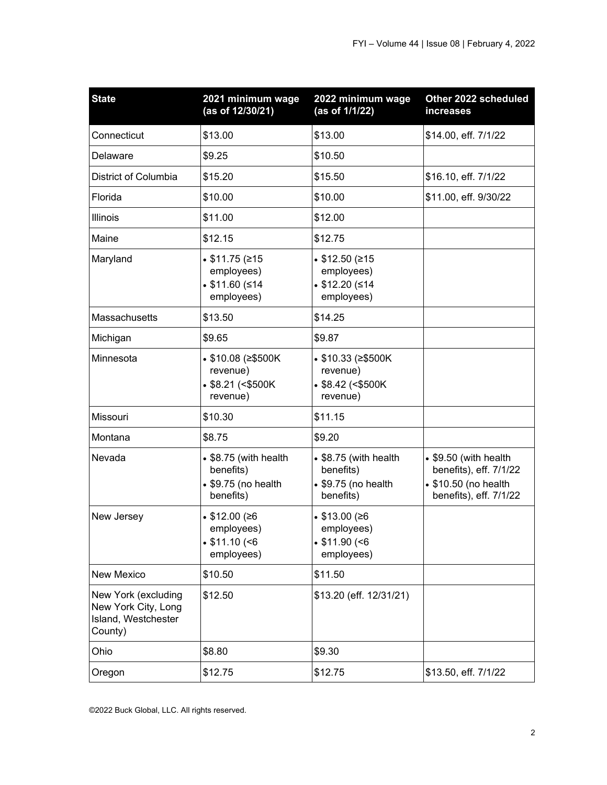| <b>State</b>                                                                 | 2021 minimum wage<br>(as of 12/30/21)                                                  | 2022 minimum wage<br>(as of 1/1/22)                                            | Other 2022 scheduled<br>increases                                                                 |
|------------------------------------------------------------------------------|----------------------------------------------------------------------------------------|--------------------------------------------------------------------------------|---------------------------------------------------------------------------------------------------|
| Connecticut                                                                  | \$13.00                                                                                | \$13.00                                                                        | \$14.00, eff. 7/1/22                                                                              |
| Delaware                                                                     | \$9.25                                                                                 | \$10.50                                                                        |                                                                                                   |
| District of Columbia                                                         | \$15.20                                                                                | \$15.50                                                                        | \$16.10, eff. 7/1/22                                                                              |
| Florida                                                                      | \$10.00                                                                                | \$10.00                                                                        | \$11.00, eff. 9/30/22                                                                             |
| Illinois                                                                     | \$11.00                                                                                | \$12.00                                                                        |                                                                                                   |
| Maine                                                                        | \$12.15                                                                                | \$12.75                                                                        |                                                                                                   |
| Maryland                                                                     | $\bullet$ \$11.75 (≥15<br>employees)<br>\$11.60 (\$14<br>employees)                    | • \$12.50 (≥15<br>employees)<br>\$12.20 (\$14<br>employees)                    |                                                                                                   |
| Massachusetts                                                                | \$13.50                                                                                | \$14.25                                                                        |                                                                                                   |
| Michigan                                                                     | \$9.65                                                                                 | \$9.87                                                                         |                                                                                                   |
| Minnesota                                                                    | • \$10.08 (≥\$500K<br>revenue)<br>$$8.21$ (<\$500K)<br>revenue)                        | • \$10.33 (≥\$500K<br>revenue)<br>$$8.42$ (<\$500K)<br>revenue)                |                                                                                                   |
| Missouri                                                                     | \$10.30                                                                                | \$11.15                                                                        |                                                                                                   |
| Montana                                                                      | \$8.75                                                                                 | \$9.20                                                                         |                                                                                                   |
| Nevada                                                                       | $\bullet$ \$8.75 (with health<br>benefits)<br>$\bullet$ \$9.75 (no health<br>benefits) | • \$8.75 (with health<br>benefits)<br>$\bullet$ \$9.75 (no health<br>benefits) | • \$9.50 (with health<br>benefits), eff. 7/1/22<br>• \$10.50 (no health<br>benefits), eff. 7/1/22 |
| New Jersey                                                                   | • $$12.00$ (≥6<br>employees)<br>$\cdot$ \$11.10 (<6<br>employees)                      | • \$13.00 $(≥6$<br>employees)<br>$\cdot$ \$11.90 (<6<br>employees)             |                                                                                                   |
| New Mexico                                                                   | \$10.50                                                                                | \$11.50                                                                        |                                                                                                   |
| New York (excluding<br>New York City, Long<br>Island, Westchester<br>County) | \$12.50                                                                                | \$13.20 (eff. 12/31/21)                                                        |                                                                                                   |
| Ohio                                                                         | \$8.80                                                                                 | \$9.30                                                                         |                                                                                                   |
| Oregon                                                                       | \$12.75                                                                                | \$12.75                                                                        | \$13.50, eff. 7/1/22                                                                              |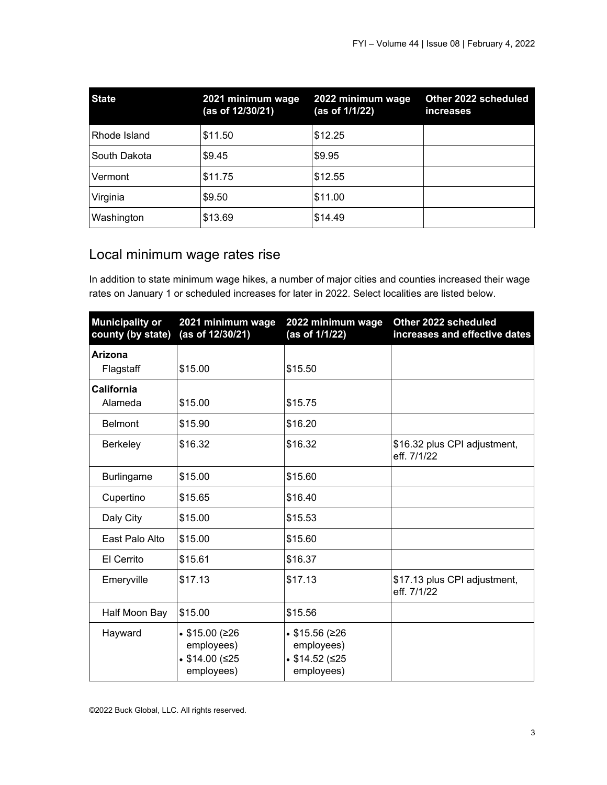| <b>State</b> | 2021 minimum wage<br>(as of 12/30/21) | 2022 minimum wage<br>(as of 1/1/22) | Other 2022 scheduled<br>increases |
|--------------|---------------------------------------|-------------------------------------|-----------------------------------|
| Rhode Island | \$11.50                               | \$12.25                             |                                   |
| South Dakota | \$9.45                                | \$9.95                              |                                   |
| Vermont      | \$11.75                               | \$12.55                             |                                   |
| Virginia     | \$9.50                                | \$11.00                             |                                   |
| Washington   | \$13.69                               | \$14.49                             |                                   |

## Local minimum wage rates rise

In addition to state minimum wage hikes, a number of major cities and counties increased their wage rates on January 1 or scheduled increases for later in 2022. Select localities are listed below.

| <b>Municipality or</b><br>county (by state) | 2021 minimum wage<br>(as of 12/30/21)                        | 2022 minimum wage<br>(as of 1/1/22)                                      | Other 2022 scheduled<br>increases and effective dates |
|---------------------------------------------|--------------------------------------------------------------|--------------------------------------------------------------------------|-------------------------------------------------------|
| <b>Arizona</b><br>Flagstaff                 | \$15.00                                                      | \$15.50                                                                  |                                                       |
| <b>California</b><br>Alameda                | \$15.00                                                      | \$15.75                                                                  |                                                       |
| <b>Belmont</b>                              | \$15.90                                                      | \$16.20                                                                  |                                                       |
| Berkeley                                    | \$16.32                                                      | \$16.32                                                                  | \$16.32 plus CPI adjustment,<br>eff. 7/1/22           |
| <b>Burlingame</b>                           | \$15.00                                                      | \$15.60                                                                  |                                                       |
| Cupertino                                   | \$15.65                                                      | \$16.40                                                                  |                                                       |
| Daly City                                   | \$15.00                                                      | \$15.53                                                                  |                                                       |
| East Palo Alto                              | \$15.00                                                      | \$15.60                                                                  |                                                       |
| El Cerrito                                  | \$15.61                                                      | \$16.37                                                                  |                                                       |
| Emeryville                                  | \$17.13                                                      | \$17.13                                                                  | \$17.13 plus CPI adjustment,<br>eff. 7/1/22           |
| Half Moon Bay                               | \$15.00                                                      | \$15.56                                                                  |                                                       |
| Hayward                                     | • $$15.00$ (≥26<br>employees)<br>\$14.00 (\$25<br>employees) | $\cdot$ \$15.56 (≥26<br>employees)<br>$$14.52$ ( $\leq$ 25<br>employees) |                                                       |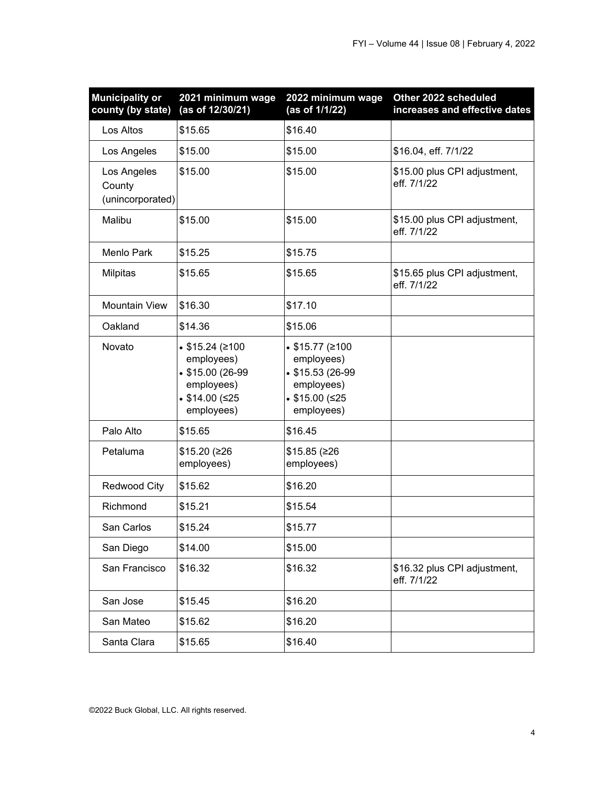| <b>Municipality or</b><br>county (by state) | 2021 minimum wage<br>(as of 12/30/21)                                                           | 2022 minimum wage<br>(as of 1/1/22)                                                                     | Other 2022 scheduled<br>increases and effective dates |
|---------------------------------------------|-------------------------------------------------------------------------------------------------|---------------------------------------------------------------------------------------------------------|-------------------------------------------------------|
| Los Altos                                   | \$15.65                                                                                         | \$16.40                                                                                                 |                                                       |
| Los Angeles                                 | \$15.00                                                                                         | \$15.00                                                                                                 | \$16.04, eff. 7/1/22                                  |
| Los Angeles<br>County<br>(unincorporated)   | \$15.00                                                                                         | \$15.00                                                                                                 | \$15.00 plus CPI adjustment,<br>eff. 7/1/22           |
| Malibu                                      | \$15.00                                                                                         | \$15.00                                                                                                 | \$15.00 plus CPI adjustment,<br>eff. 7/1/22           |
| <b>Menlo Park</b>                           | \$15.25                                                                                         | \$15.75                                                                                                 |                                                       |
| Milpitas                                    | \$15.65                                                                                         | \$15.65                                                                                                 | \$15.65 plus CPI adjustment,<br>eff. 7/1/22           |
| <b>Mountain View</b>                        | \$16.30                                                                                         | \$17.10                                                                                                 |                                                       |
| Oakland                                     | \$14.36                                                                                         | \$15.06                                                                                                 |                                                       |
| Novato                                      | • $$15.24$ (≥100<br>employees)<br>• \$15.00 (26-99<br>employees)<br>\$14.00 (\$25<br>employees) | • $$15.77$ (≥100<br>employees)<br>$$15.53(26-99)$<br>employees)<br>$$15.00$ ( $\leq 25$ )<br>employees) |                                                       |
| Palo Alto                                   | \$15.65                                                                                         | \$16.45                                                                                                 |                                                       |
| Petaluma                                    | \$15.20 (≥26<br>employees)                                                                      | $$15.85$ ( $\geq 26$<br>employees)                                                                      |                                                       |
| Redwood City                                | \$15.62                                                                                         | \$16.20                                                                                                 |                                                       |
| Richmond                                    | \$15.21                                                                                         | \$15.54                                                                                                 |                                                       |
| San Carlos                                  | \$15.24                                                                                         | \$15.77                                                                                                 |                                                       |
| San Diego                                   | \$14.00                                                                                         | \$15.00                                                                                                 |                                                       |
| San Francisco                               | \$16.32                                                                                         | \$16.32                                                                                                 | \$16.32 plus CPI adjustment,<br>eff. 7/1/22           |
| San Jose                                    | \$15.45                                                                                         | \$16.20                                                                                                 |                                                       |
| San Mateo                                   | \$15.62                                                                                         | \$16.20                                                                                                 |                                                       |
| Santa Clara                                 | \$15.65                                                                                         | \$16.40                                                                                                 |                                                       |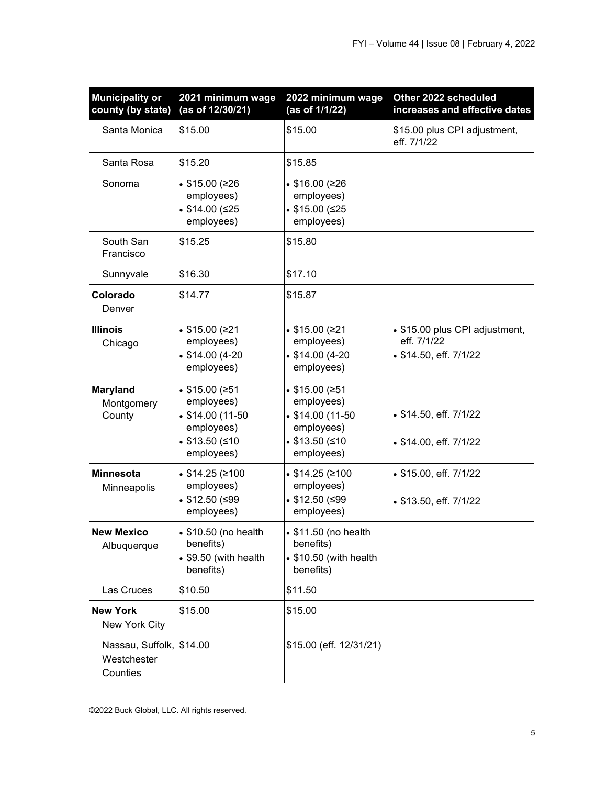| <b>Municipality or</b><br>county (by state)         | 2021 minimum wage<br>(as of 12/30/21)                                                                         | 2022 minimum wage<br>(as of 1/1/22)                                                                | Other 2022 scheduled<br>increases and effective dates                   |
|-----------------------------------------------------|---------------------------------------------------------------------------------------------------------------|----------------------------------------------------------------------------------------------------|-------------------------------------------------------------------------|
| Santa Monica                                        | \$15.00                                                                                                       | \$15.00                                                                                            | \$15.00 plus CPI adjustment,<br>eff. 7/1/22                             |
| Santa Rosa                                          | \$15.20                                                                                                       | \$15.85                                                                                            |                                                                         |
| Sonoma                                              | • $$15.00$ (≥26<br>employees)<br>\$14.00 (\$25<br>employees)                                                  | • $$16.00$ (≥26<br>employees)<br>\$15.00 (\$25<br>employees)                                       |                                                                         |
| South San<br>Francisco                              | \$15.25                                                                                                       | \$15.80                                                                                            |                                                                         |
| Sunnyvale                                           | \$16.30                                                                                                       | \$17.10                                                                                            |                                                                         |
| Colorado<br>Denver                                  | \$14.77                                                                                                       | \$15.87                                                                                            |                                                                         |
| <b>Illinois</b><br>Chicago                          | • $$15.00$ (≥21<br>employees)<br>$$14.00(4-20)$<br>employees)                                                 | • $$15.00$ (≥21<br>employees)<br>$$14.00(4-20)$<br>employees)                                      | • \$15.00 plus CPI adjustment,<br>eff. 7/1/22<br>• \$14.50, eff. 7/1/22 |
| Maryland<br>Montgomery<br>County                    | $$15.00$ ( $\geq 51$ )<br>employees)<br>$\bullet$ \$14.00 (11-50<br>employees)<br>\$13.50 (\$10<br>employees) | \$15.00 (\$51<br>employees)<br>$$14.00(11-50)$<br>employees)<br>$$13.50$ ( $\leq 10$<br>employees) | • \$14.50, eff. 7/1/22<br>• \$14.00, eff. 7/1/22                        |
| <b>Minnesota</b><br>Minneapolis                     | • $$14.25$ (≥100<br>employees)<br>$$12.50$ ( $\leq$ 99<br>employees)                                          | • $$14.25$ (≥100<br>employees)<br>$$12.50$ ( $\leq$ 99<br>employees)                               | • \$15.00, eff. 7/1/22<br>• \$13.50, eff. 7/1/22                        |
| <b>New Mexico</b><br>Albuquerque                    | • \$10.50 (no health<br>benefits)<br>• \$9.50 (with health<br>benefits)                                       | • \$11.50 (no health<br>benefits)<br>• \$10.50 (with health<br>benefits)                           |                                                                         |
| Las Cruces                                          | \$10.50                                                                                                       | \$11.50                                                                                            |                                                                         |
| <b>New York</b><br>New York City                    | \$15.00                                                                                                       | \$15.00                                                                                            |                                                                         |
| Nassau, Suffolk, \$14.00<br>Westchester<br>Counties |                                                                                                               | \$15.00 (eff. 12/31/21)                                                                            |                                                                         |